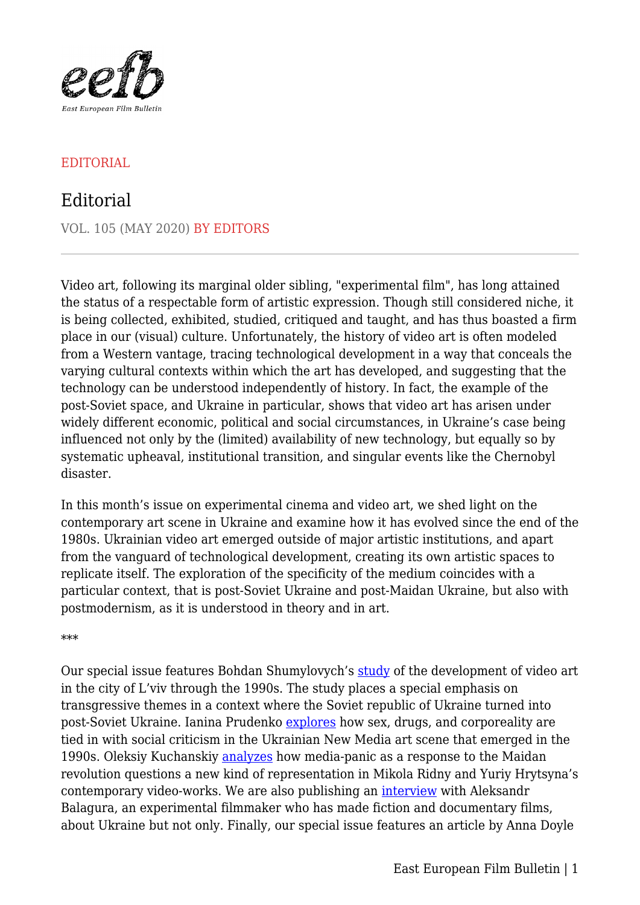

## EDITORIAL

## Editorial

VOL. 105 (MAY 2020) BY EDITORS

Video art, following its marginal older sibling, "experimental film", has long attained the status of a respectable form of artistic expression. Though still considered niche, it is being collected, exhibited, studied, critiqued and taught, and has thus boasted a firm place in our (visual) culture. Unfortunately, the history of video art is often modeled from a Western vantage, tracing technological development in a way that conceals the varying cultural contexts within which the art has developed, and suggesting that the technology can be understood independently of history. In fact, the example of the post-Soviet space, and Ukraine in particular, shows that video art has arisen under widely different economic, political and social circumstances, in Ukraine's case being influenced not only by the (limited) availability of new technology, but equally so by systematic upheaval, institutional transition, and singular events like the Chernobyl disaster.

In this month's issue on experimental cinema and video art, we shed light on the contemporary art scene in Ukraine and examine how it has evolved since the end of the 1980s. Ukrainian video art emerged outside of major artistic institutions, and apart from the vanguard of technological development, creating its own artistic spaces to replicate itself. The exploration of the specificity of the medium coincides with a particular context, that is post-Soviet Ukraine and post-Maidan Ukraine, but also with postmodernism, as it is understood in theory and in art.

\*\*\*

Our special issue features Bohdan Shumylovych's [study](https://eefb.org/retrospectives/western-ukrainian-media-art-of-the-late-1980s-and-early-1990s/) of the development of video art in the city of L'viv through the 1990s. The study places a special emphasis on transgressive themes in a context where the Soviet republic of Ukraine turned into post-Soviet Ukraine. Ianina Prudenko [explores](https://eefb.org/retrospectives/ukrainian-video-art-in-the-1990s-and-2000s/) how sex, drugs, and corporeality are tied in with social criticism in the Ukrainian New Media art scene that emerged in the 1990s. Oleksiy Kuchanskiy [analyzes](https://eefb.org/perspectives/yuriy-hrytsynas-varta1-2014-mykola-ridnyis-regular-places/) how media-panic as a response to the Maidan revolution questions a new kind of representation in Mikola Ridny and Yuriy Hrytsyna's contemporary video-works. We are also publishing an *interview* with Aleksandr Balagura, an experimental filmmaker who has made fiction and documentary films, about Ukraine but not only. Finally, our special issue features an article by Anna Doyle